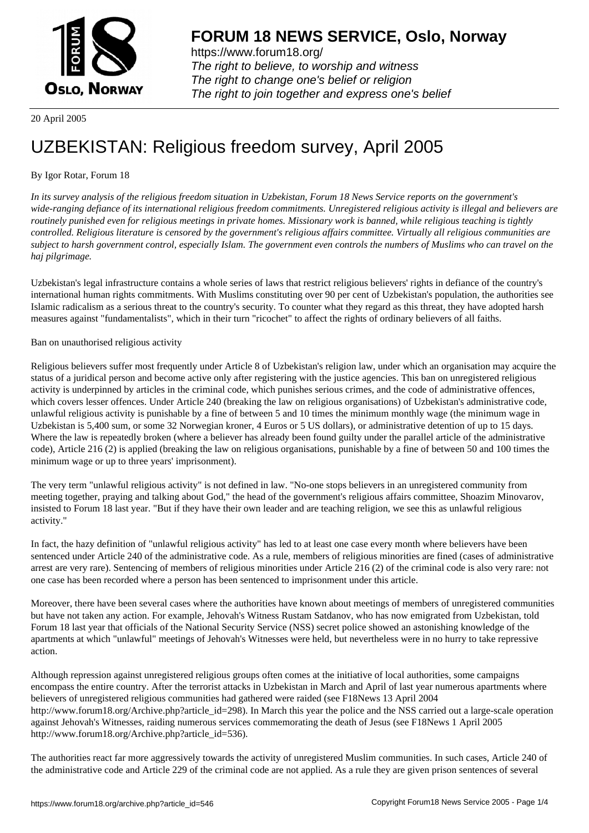

https://www.forum18.org/ The right to believe, to worship and witness The right to change one's belief or religion [The right to join together a](https://www.forum18.org/)nd express one's belief

20 April 2005

# [UZBEKISTAN:](https://www.forum18.org) Religious freedom survey, April 2005

## By Igor Rotar, Forum 18

*In its survey analysis of the religious freedom situation in Uzbekistan, Forum 18 News Service reports on the government's wide-ranging defiance of its international religious freedom commitments. Unregistered religious activity is illegal and believers are routinely punished even for religious meetings in private homes. Missionary work is banned, while religious teaching is tightly controlled. Religious literature is censored by the government's religious affairs committee. Virtually all religious communities are subject to harsh government control, especially Islam. The government even controls the numbers of Muslims who can travel on the haj pilgrimage.*

Uzbekistan's legal infrastructure contains a whole series of laws that restrict religious believers' rights in defiance of the country's international human rights commitments. With Muslims constituting over 90 per cent of Uzbekistan's population, the authorities see Islamic radicalism as a serious threat to the country's security. To counter what they regard as this threat, they have adopted harsh measures against "fundamentalists", which in their turn "ricochet" to affect the rights of ordinary believers of all faiths.

## Ban on unauthorised religious activity

Religious believers suffer most frequently under Article 8 of Uzbekistan's religion law, under which an organisation may acquire the status of a juridical person and become active only after registering with the justice agencies. This ban on unregistered religious activity is underpinned by articles in the criminal code, which punishes serious crimes, and the code of administrative offences, which covers lesser offences. Under Article 240 (breaking the law on religious organisations) of Uzbekistan's administrative code, unlawful religious activity is punishable by a fine of between 5 and 10 times the minimum monthly wage (the minimum wage in Uzbekistan is 5,400 sum, or some 32 Norwegian kroner, 4 Euros or 5 US dollars), or administrative detention of up to 15 days. Where the law is repeatedly broken (where a believer has already been found guilty under the parallel article of the administrative code), Article 216 (2) is applied (breaking the law on religious organisations, punishable by a fine of between 50 and 100 times the minimum wage or up to three years' imprisonment).

The very term "unlawful religious activity" is not defined in law. "No-one stops believers in an unregistered community from meeting together, praying and talking about God," the head of the government's religious affairs committee, Shoazim Minovarov, insisted to Forum 18 last year. "But if they have their own leader and are teaching religion, we see this as unlawful religious activity."

In fact, the hazy definition of "unlawful religious activity" has led to at least one case every month where believers have been sentenced under Article 240 of the administrative code. As a rule, members of religious minorities are fined (cases of administrative arrest are very rare). Sentencing of members of religious minorities under Article 216 (2) of the criminal code is also very rare: not one case has been recorded where a person has been sentenced to imprisonment under this article.

Moreover, there have been several cases where the authorities have known about meetings of members of unregistered communities but have not taken any action. For example, Jehovah's Witness Rustam Satdanov, who has now emigrated from Uzbekistan, told Forum 18 last year that officials of the National Security Service (NSS) secret police showed an astonishing knowledge of the apartments at which "unlawful" meetings of Jehovah's Witnesses were held, but nevertheless were in no hurry to take repressive action.

Although repression against unregistered religious groups often comes at the initiative of local authorities, some campaigns encompass the entire country. After the terrorist attacks in Uzbekistan in March and April of last year numerous apartments where believers of unregistered religious communities had gathered were raided (see F18News 13 April 2004 http://www.forum18.org/Archive.php?article\_id=298). In March this year the police and the NSS carried out a large-scale operation against Jehovah's Witnesses, raiding numerous services commemorating the death of Jesus (see F18News 1 April 2005 http://www.forum18.org/Archive.php?article\_id=536).

The authorities react far more aggressively towards the activity of unregistered Muslim communities. In such cases, Article 240 of the administrative code and Article 229 of the criminal code are not applied. As a rule they are given prison sentences of several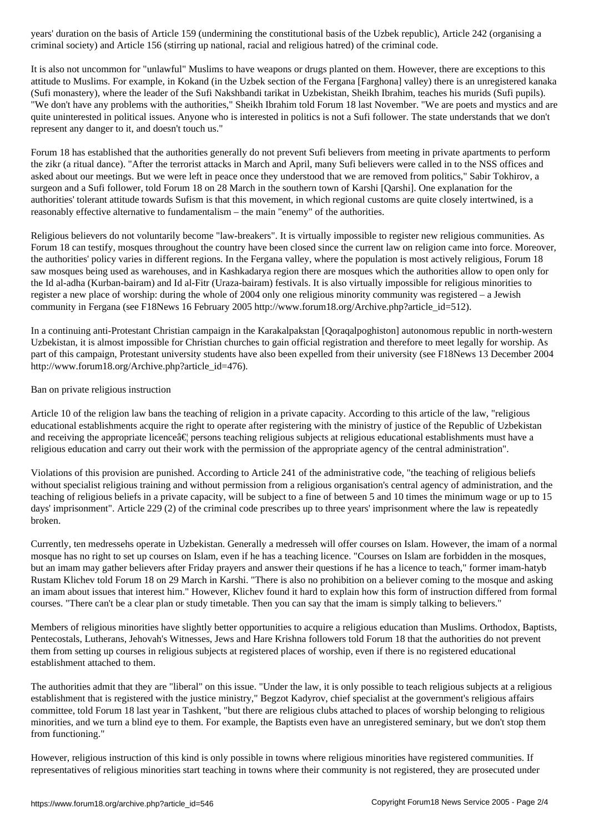criminal society) and Article 156 (stirring up national, racial and religious hatred) of the criminal code. Article 156 (stirring up national, racial code. The criminal code. The criminal code. Article 156 (stirring up nat

It is also not uncommon for "unlawful" Muslims to have weapons or drugs planted on them. However, there are exceptions to this attitude to Muslims. For example, in Kokand (in the Uzbek section of the Fergana [Farghona] valley) there is an unregistered kanaka (Sufi monastery), where the leader of the Sufi Nakshbandi tarikat in Uzbekistan, Sheikh Ibrahim, teaches his murids (Sufi pupils). "We don't have any problems with the authorities," Sheikh Ibrahim told Forum 18 last November. "We are poets and mystics and are quite uninterested in political issues. Anyone who is interested in politics is not a Sufi follower. The state understands that we don't represent any danger to it, and doesn't touch us."

Forum 18 has established that the authorities generally do not prevent Sufi believers from meeting in private apartments to perform the zikr (a ritual dance). "After the terrorist attacks in March and April, many Sufi believers were called in to the NSS offices and asked about our meetings. But we were left in peace once they understood that we are removed from politics," Sabir Tokhirov, a surgeon and a Sufi follower, told Forum 18 on 28 March in the southern town of Karshi [Qarshi]. One explanation for the authorities' tolerant attitude towards Sufism is that this movement, in which regional customs are quite closely intertwined, is a reasonably effective alternative to fundamentalism – the main "enemy" of the authorities.

Religious believers do not voluntarily become "law-breakers". It is virtually impossible to register new religious communities. As Forum 18 can testify, mosques throughout the country have been closed since the current law on religion came into force. Moreover, the authorities' policy varies in different regions. In the Fergana valley, where the population is most actively religious, Forum 18 saw mosques being used as warehouses, and in Kashkadarya region there are mosques which the authorities allow to open only for the Id al-adha (Kurban-bairam) and Id al-Fitr (Uraza-bairam) festivals. It is also virtually impossible for religious minorities to register a new place of worship: during the whole of 2004 only one religious minority community was registered – a Jewish community in Fergana (see F18News 16 February 2005 http://www.forum18.org/Archive.php?article\_id=512).

In a continuing anti-Protestant Christian campaign in the Karakalpakstan [Qoraqalpoghiston] autonomous republic in north-western Uzbekistan, it is almost impossible for Christian churches to gain official registration and therefore to meet legally for worship. As part of this campaign, Protestant university students have also been expelled from their university (see F18News 13 December 2004 http://www.forum18.org/Archive.php?article\_id=476).

## Ban on private religious instruction

Article 10 of the religion law bans the teaching of religion in a private capacity. According to this article of the law, "religious educational establishments acquire the right to operate after registering with the ministry of justice of the Republic of Uzbekistan and receiving the appropriate licence  $\hat{\alpha} \in \mathbb{R}$  persons teaching religious subjects at religious educational establishments must have a religious education and carry out their work with the permission of the appropriate agency of the central administration".

Violations of this provision are punished. According to Article 241 of the administrative code, "the teaching of religious beliefs without specialist religious training and without permission from a religious organisation's central agency of administration, and the teaching of religious beliefs in a private capacity, will be subject to a fine of between 5 and 10 times the minimum wage or up to 15 days' imprisonment". Article 229 (2) of the criminal code prescribes up to three years' imprisonment where the law is repeatedly broken.

Currently, ten medressehs operate in Uzbekistan. Generally a medresseh will offer courses on Islam. However, the imam of a normal mosque has no right to set up courses on Islam, even if he has a teaching licence. "Courses on Islam are forbidden in the mosques, but an imam may gather believers after Friday prayers and answer their questions if he has a licence to teach," former imam-hatyb Rustam Klichev told Forum 18 on 29 March in Karshi. "There is also no prohibition on a believer coming to the mosque and asking an imam about issues that interest him." However, Klichev found it hard to explain how this form of instruction differed from formal courses. "There can't be a clear plan or study timetable. Then you can say that the imam is simply talking to believers."

Members of religious minorities have slightly better opportunities to acquire a religious education than Muslims. Orthodox, Baptists, Pentecostals, Lutherans, Jehovah's Witnesses, Jews and Hare Krishna followers told Forum 18 that the authorities do not prevent them from setting up courses in religious subjects at registered places of worship, even if there is no registered educational establishment attached to them.

The authorities admit that they are "liberal" on this issue. "Under the law, it is only possible to teach religious subjects at a religious establishment that is registered with the justice ministry," Begzot Kadyrov, chief specialist at the government's religious affairs committee, told Forum 18 last year in Tashkent, "but there are religious clubs attached to places of worship belonging to religious minorities, and we turn a blind eye to them. For example, the Baptists even have an unregistered seminary, but we don't stop them from functioning."

However, religious instruction of this kind is only possible in towns where religious minorities have registered communities. If representatives of religious minorities start teaching in towns where their community is not registered, they are prosecuted under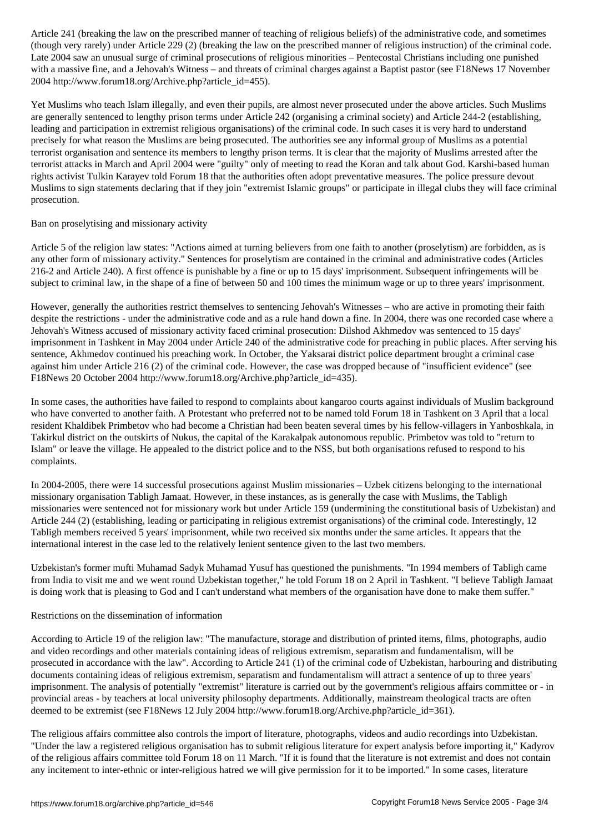$\zeta$  , though very rarely under article 229 (breaking the prescribed manner of religious instruction) of the criminal code. Late 2004 saw an unusual surge of criminal prosecutions of religious minorities – Pentecostal Christians including one punished with a massive fine, and a Jehovah's Witness – and threats of criminal charges against a Baptist pastor (see F18News 17 November 2004 http://www.forum18.org/Archive.php?article\_id=455).

Yet Muslims who teach Islam illegally, and even their pupils, are almost never prosecuted under the above articles. Such Muslims are generally sentenced to lengthy prison terms under Article 242 (organising a criminal society) and Article 244-2 (establishing, leading and participation in extremist religious organisations) of the criminal code. In such cases it is very hard to understand precisely for what reason the Muslims are being prosecuted. The authorities see any informal group of Muslims as a potential terrorist organisation and sentence its members to lengthy prison terms. It is clear that the majority of Muslims arrested after the terrorist attacks in March and April 2004 were "guilty" only of meeting to read the Koran and talk about God. Karshi-based human rights activist Tulkin Karayev told Forum 18 that the authorities often adopt preventative measures. The police pressure devout Muslims to sign statements declaring that if they join "extremist Islamic groups" or participate in illegal clubs they will face criminal prosecution.

#### Ban on proselytising and missionary activity

Article 5 of the religion law states: "Actions aimed at turning believers from one faith to another (proselytism) are forbidden, as is any other form of missionary activity." Sentences for proselytism are contained in the criminal and administrative codes (Articles 216-2 and Article 240). A first offence is punishable by a fine or up to 15 days' imprisonment. Subsequent infringements will be subject to criminal law, in the shape of a fine of between 50 and 100 times the minimum wage or up to three years' imprisonment.

However, generally the authorities restrict themselves to sentencing Jehovah's Witnesses – who are active in promoting their faith despite the restrictions - under the administrative code and as a rule hand down a fine. In 2004, there was one recorded case where a Jehovah's Witness accused of missionary activity faced criminal prosecution: Dilshod Akhmedov was sentenced to 15 days' imprisonment in Tashkent in May 2004 under Article 240 of the administrative code for preaching in public places. After serving his sentence, Akhmedov continued his preaching work. In October, the Yaksarai district police department brought a criminal case against him under Article 216 (2) of the criminal code. However, the case was dropped because of "insufficient evidence" (see F18News 20 October 2004 http://www.forum18.org/Archive.php?article\_id=435).

In some cases, the authorities have failed to respond to complaints about kangaroo courts against individuals of Muslim background who have converted to another faith. A Protestant who preferred not to be named told Forum 18 in Tashkent on 3 April that a local resident Khaldibek Primbetov who had become a Christian had been beaten several times by his fellow-villagers in Yanboshkala, in Takirkul district on the outskirts of Nukus, the capital of the Karakalpak autonomous republic. Primbetov was told to "return to Islam" or leave the village. He appealed to the district police and to the NSS, but both organisations refused to respond to his complaints.

In 2004-2005, there were 14 successful prosecutions against Muslim missionaries – Uzbek citizens belonging to the international missionary organisation Tabligh Jamaat. However, in these instances, as is generally the case with Muslims, the Tabligh missionaries were sentenced not for missionary work but under Article 159 (undermining the constitutional basis of Uzbekistan) and Article 244 (2) (establishing, leading or participating in religious extremist organisations) of the criminal code. Interestingly, 12 Tabligh members received 5 years' imprisonment, while two received six months under the same articles. It appears that the international interest in the case led to the relatively lenient sentence given to the last two members.

Uzbekistan's former mufti Muhamad Sadyk Muhamad Yusuf has questioned the punishments. "In 1994 members of Tabligh came from India to visit me and we went round Uzbekistan together," he told Forum 18 on 2 April in Tashkent. "I believe Tabligh Jamaat is doing work that is pleasing to God and I can't understand what members of the organisation have done to make them suffer."

#### Restrictions on the dissemination of information

According to Article 19 of the religion law: "The manufacture, storage and distribution of printed items, films, photographs, audio and video recordings and other materials containing ideas of religious extremism, separatism and fundamentalism, will be prosecuted in accordance with the law". According to Article 241 (1) of the criminal code of Uzbekistan, harbouring and distributing documents containing ideas of religious extremism, separatism and fundamentalism will attract a sentence of up to three years' imprisonment. The analysis of potentially "extremist" literature is carried out by the government's religious affairs committee or - in provincial areas - by teachers at local university philosophy departments. Additionally, mainstream theological tracts are often deemed to be extremist (see F18News 12 July 2004 http://www.forum18.org/Archive.php?article\_id=361).

The religious affairs committee also controls the import of literature, photographs, videos and audio recordings into Uzbekistan. "Under the law a registered religious organisation has to submit religious literature for expert analysis before importing it," Kadyrov of the religious affairs committee told Forum 18 on 11 March. "If it is found that the literature is not extremist and does not contain any incitement to inter-ethnic or inter-religious hatred we will give permission for it to be imported." In some cases, literature